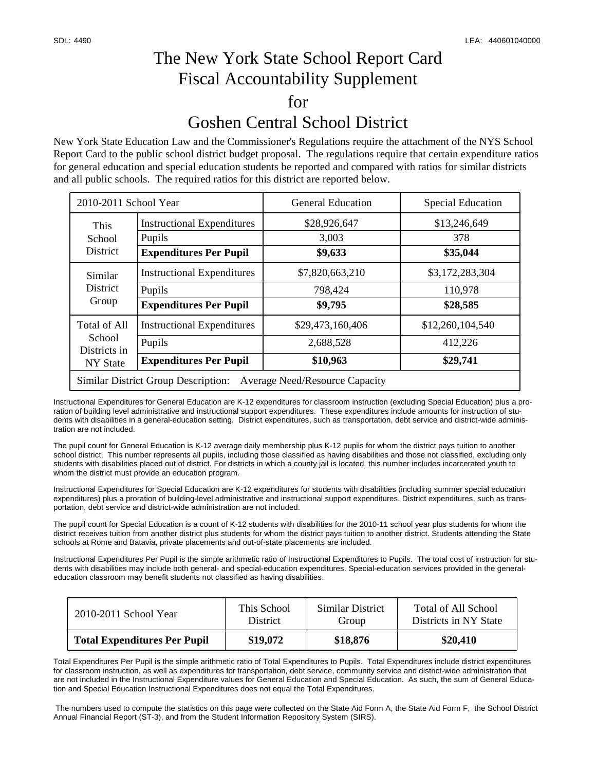## The New York State School Report Card Fiscal Accountability Supplement for Goshen Central School District

New York State Education Law and the Commissioner's Regulations require the attachment of the NYS School Report Card to the public school district budget proposal. The regulations require that certain expenditure ratios for general education and special education students be reported and compared with ratios for similar districts and all public schools. The required ratios for this district are reported below.

| 2010-2011 School Year                                                               |                                             | <b>General Education</b> | <b>Special Education</b> |  |  |  |
|-------------------------------------------------------------------------------------|---------------------------------------------|--------------------------|--------------------------|--|--|--|
| This<br>School<br><b>District</b>                                                   | <b>Instructional Expenditures</b><br>Pupils | \$28,926,647<br>3,003    | \$13,246,649<br>378      |  |  |  |
|                                                                                     | <b>Expenditures Per Pupil</b>               | \$9,633                  | \$35,044                 |  |  |  |
| Similar<br><b>District</b><br>Group                                                 | <b>Instructional Expenditures</b>           | \$7,820,663,210          | \$3,172,283,304          |  |  |  |
|                                                                                     | Pupils                                      | 798,424                  | 110,978                  |  |  |  |
|                                                                                     | <b>Expenditures Per Pupil</b>               | \$9,795                  | \$28,585                 |  |  |  |
| <b>Total of All</b><br>School<br>Districts in<br>NY State                           | <b>Instructional Expenditures</b>           | \$29,473,160,406         | \$12,260,104,540         |  |  |  |
|                                                                                     | Pupils                                      | 2,688,528                | 412,226                  |  |  |  |
|                                                                                     | <b>Expenditures Per Pupil</b>               | \$10,963                 | \$29,741                 |  |  |  |
| <b>Similar District Group Description:</b><br><b>Average Need/Resource Capacity</b> |                                             |                          |                          |  |  |  |

Instructional Expenditures for General Education are K-12 expenditures for classroom instruction (excluding Special Education) plus a proration of building level administrative and instructional support expenditures. These expenditures include amounts for instruction of students with disabilities in a general-education setting. District expenditures, such as transportation, debt service and district-wide administration are not included.

The pupil count for General Education is K-12 average daily membership plus K-12 pupils for whom the district pays tuition to another school district. This number represents all pupils, including those classified as having disabilities and those not classified, excluding only students with disabilities placed out of district. For districts in which a county jail is located, this number includes incarcerated youth to whom the district must provide an education program.

Instructional Expenditures for Special Education are K-12 expenditures for students with disabilities (including summer special education expenditures) plus a proration of building-level administrative and instructional support expenditures. District expenditures, such as transportation, debt service and district-wide administration are not included.

The pupil count for Special Education is a count of K-12 students with disabilities for the 2010-11 school year plus students for whom the district receives tuition from another district plus students for whom the district pays tuition to another district. Students attending the State schools at Rome and Batavia, private placements and out-of-state placements are included.

Instructional Expenditures Per Pupil is the simple arithmetic ratio of Instructional Expenditures to Pupils. The total cost of instruction for students with disabilities may include both general- and special-education expenditures. Special-education services provided in the generaleducation classroom may benefit students not classified as having disabilities.

| 2010-2011 School Year               | This School     | Similar District | Total of All School   |
|-------------------------------------|-----------------|------------------|-----------------------|
|                                     | <b>District</b> | Group            | Districts in NY State |
| <b>Total Expenditures Per Pupil</b> | \$19,072        | \$18,876         | \$20,410              |

Total Expenditures Per Pupil is the simple arithmetic ratio of Total Expenditures to Pupils. Total Expenditures include district expenditures for classroom instruction, as well as expenditures for transportation, debt service, community service and district-wide administration that are not included in the Instructional Expenditure values for General Education and Special Education. As such, the sum of General Education and Special Education Instructional Expenditures does not equal the Total Expenditures.

 The numbers used to compute the statistics on this page were collected on the State Aid Form A, the State Aid Form F, the School District Annual Financial Report (ST-3), and from the Student Information Repository System (SIRS).